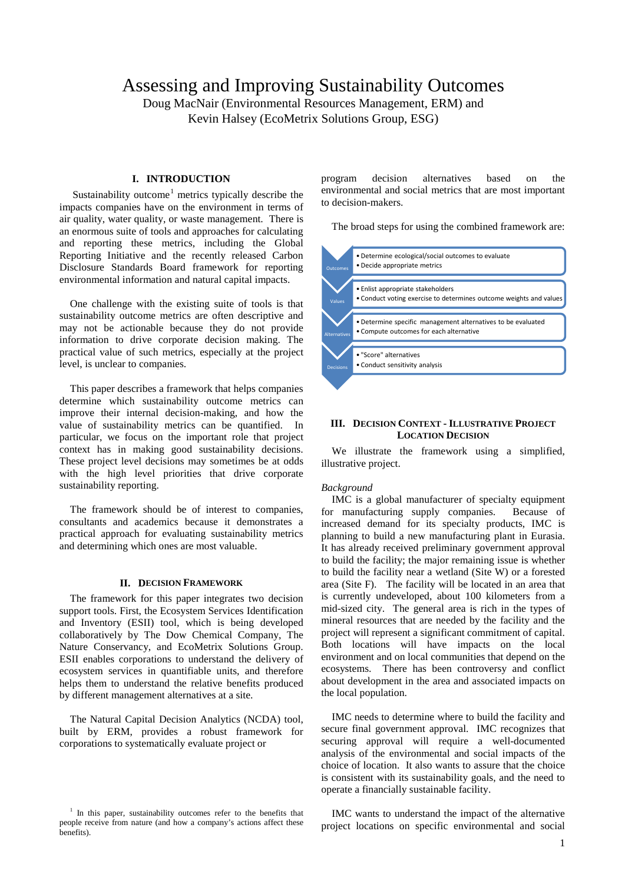# Assessing and Improving Sustainability Outcomes

Doug MacNair (Environmental Resources Management, ERM) and Kevin Halsey (EcoMetrix Solutions Group, ESG)

# **I. INTRODUCTION**

Sustainability outcome<sup>[1](#page-0-0)</sup> metrics typically describe the impacts companies have on the environment in terms of air quality, water quality, or waste management. There is an enormous suite of tools and approaches for calculating and reporting these metrics, including the Global Reporting Initiative and the recently released Carbon Disclosure Standards Board framework for reporting environmental information and natural capital impacts.

One challenge with the existing suite of tools is that sustainability outcome metrics are often descriptive and may not be actionable because they do not provide information to drive corporate decision making. The practical value of such metrics, especially at the project level, is unclear to companies.

This paper describes a framework that helps companies determine which sustainability outcome metrics can improve their internal decision-making, and how the value of sustainability metrics can be quantified. In particular, we focus on the important role that project context has in making good sustainability decisions. These project level decisions may sometimes be at odds with the high level priorities that drive corporate sustainability reporting.

The framework should be of interest to companies, consultants and academics because it demonstrates a practical approach for evaluating sustainability metrics and determining which ones are most valuable.

#### **II. DECISION FRAMEWORK**

The framework for this paper integrates two decision support tools. First, the Ecosystem Services Identification and Inventory (ESII) tool, which is being developed collaboratively by The Dow Chemical Company, The Nature Conservancy, and EcoMetrix Solutions Group. ESII enables corporations to understand the delivery of ecosystem services in quantifiable units, and therefore helps them to understand the relative benefits produced by different management alternatives at a site.

The Natural Capital Decision Analytics (NCDA) tool, built by ERM, provides a robust framework for corporations to systematically evaluate project or

program decision alternatives based on the environmental and social metrics that are most important to decision-makers.

The broad steps for using the combined framework are:



## **III. DECISION CONTEXT - ILLUSTRATIVE PROJECT LOCATION DECISION**

We illustrate the framework using a simplified, illustrative project.

#### *Background*

IMC is a global manufacturer of specialty equipment for manufacturing supply companies. Because of increased demand for its specialty products, IMC is planning to build a new manufacturing plant in Eurasia. It has already received preliminary government approval to build the facility; the major remaining issue is whether to build the facility near a wetland (Site W) or a forested area (Site F). The facility will be located in an area that is currently undeveloped, about 100 kilometers from a mid-sized city. The general area is rich in the types of mineral resources that are needed by the facility and the project will represent a significant commitment of capital. Both locations will have impacts on the local environment and on local communities that depend on the ecosystems. There has been controversy and conflict about development in the area and associated impacts on the local population.

IMC needs to determine where to build the facility and secure final government approval. IMC recognizes that securing approval will require a well-documented analysis of the environmental and social impacts of the choice of location. It also wants to assure that the choice is consistent with its sustainability goals, and the need to operate a financially sustainable facility.

IMC wants to understand the impact of the alternative project locations on specific environmental and social

<span id="page-0-0"></span> $1$  In this paper, sustainability outcomes refer to the benefits that people receive from nature (and how a company's actions affect these benefits).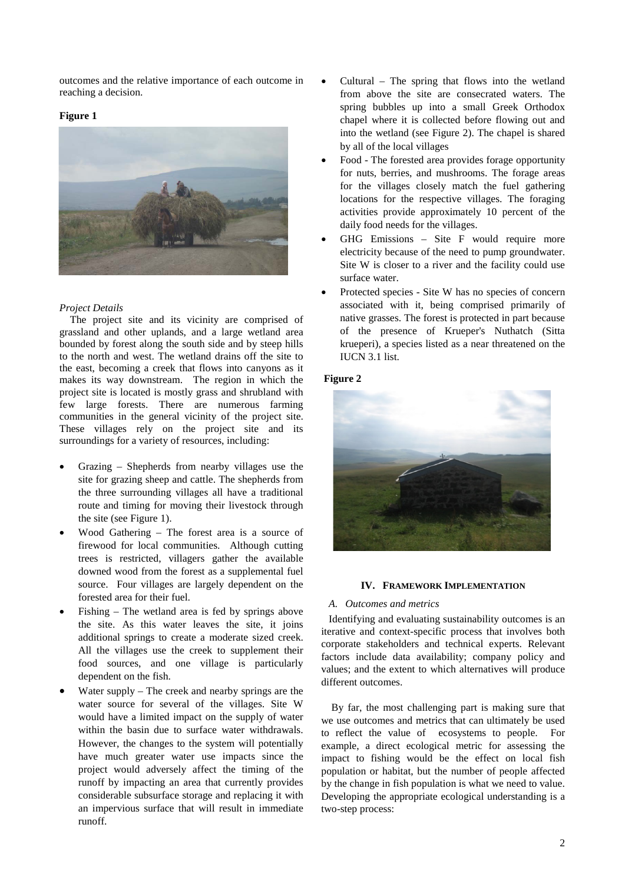outcomes and the relative importance of each outcome in reaching a decision.

## **Figure 1**



# *Project Details*

The project site and its vicinity are comprised of grassland and other uplands, and a large wetland area bounded by forest along the south side and by steep hills to the north and west. The wetland drains off the site to the east, becoming a creek that flows into canyons as it makes its way downstream. The region in which the project site is located is mostly grass and shrubland with few large forests. There are numerous farming communities in the general vicinity of the project site. These villages rely on the project site and its surroundings for a variety of resources, including:

- Grazing Shepherds from nearby villages use the site for grazing sheep and cattle. The shepherds from the three surrounding villages all have a traditional route and timing for moving their livestock through the site (see Figure 1).
- Wood Gathering The forest area is a source of firewood for local communities. Although cutting trees is restricted, villagers gather the available downed wood from the forest as a supplemental fuel source. Four villages are largely dependent on the forested area for their fuel.
- Fishing  $-$  The wetland area is fed by springs above the site. As this water leaves the site, it joins additional springs to create a moderate sized creek. All the villages use the creek to supplement their food sources, and one village is particularly dependent on the fish.
- Water supply  $-$  The creek and nearby springs are the water source for several of the villages. Site W would have a limited impact on the supply of water within the basin due to surface water withdrawals. However, the changes to the system will potentially have much greater water use impacts since the project would adversely affect the timing of the runoff by impacting an area that currently provides considerable subsurface storage and replacing it with an impervious surface that will result in immediate runoff.
- Cultural The spring that flows into the wetland from above the site are consecrated waters. The spring bubbles up into a small Greek Orthodox chapel where it is collected before flowing out and into the wetland (see Figure 2). The chapel is shared by all of the local villages
- Food The forested area provides forage opportunity for nuts, berries, and mushrooms. The forage areas for the villages closely match the fuel gathering locations for the respective villages. The foraging activities provide approximately 10 percent of the daily food needs for the villages.
- GHG Emissions Site F would require more electricity because of the need to pump groundwater. Site W is closer to a river and the facility could use surface water.
- Protected species Site W has no species of concern associated with it, being comprised primarily of native grasses. The forest is protected in part because of the presence of Krueper's Nuthatch (Sitta krueperi), a species listed as a near threatened on the IUCN 3.1 list.

# **Figure 2**



## **IV. FRAMEWORK IMPLEMENTATION**

## *A. Outcomes and metrics*

Identifying and evaluating sustainability outcomes is an iterative and context-specific process that involves both corporate stakeholders and technical experts. Relevant factors include data availability; company policy and values; and the extent to which alternatives will produce different outcomes.

By far, the most challenging part is making sure that we use outcomes and metrics that can ultimately be used to reflect the value of ecosystems to people. For example, a direct ecological metric for assessing the impact to fishing would be the effect on local fish population or habitat, but the number of people affected by the change in fish population is what we need to value. Developing the appropriate ecological understanding is a two-step process: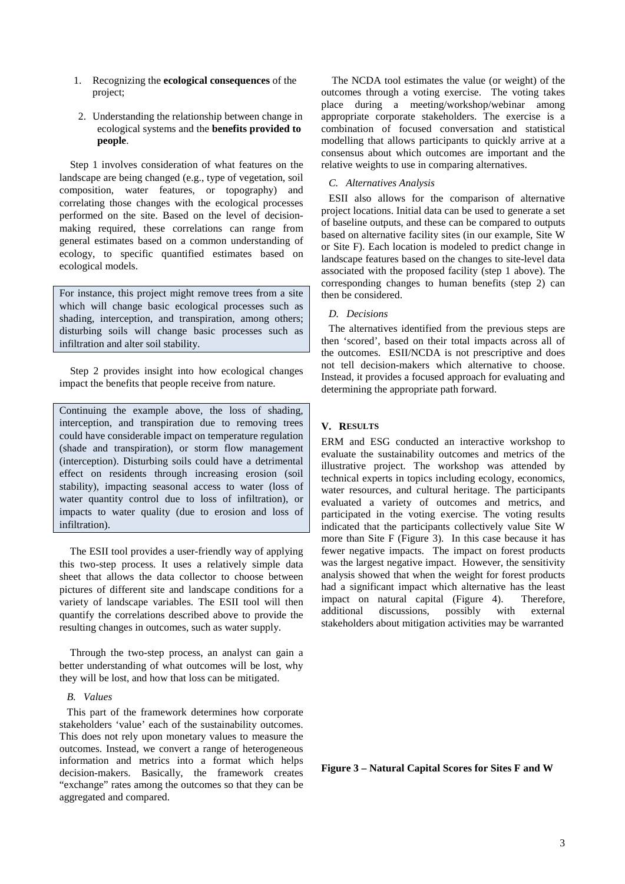- 1. Recognizing the **ecological consequences** of the project;
- 2. Understanding the relationship between change in ecological systems and the **benefits provided to people**.

Step 1 involves consideration of what features on the landscape are being changed (e.g., type of vegetation, soil composition, water features, or topography) and correlating those changes with the ecological processes performed on the site. Based on the level of decisionmaking required, these correlations can range from general estimates based on a common understanding of ecology, to specific quantified estimates based on ecological models.

For instance, this project might remove trees from a site which will change basic ecological processes such as shading, interception, and transpiration, among others; disturbing soils will change basic processes such as infiltration and alter soil stability.

Step 2 provides insight into how ecological changes impact the benefits that people receive from nature.

Continuing the example above, the loss of shading, interception, and transpiration due to removing trees could have considerable impact on temperature regulation (shade and transpiration), or storm flow management (interception). Disturbing soils could have a detrimental effect on residents through increasing erosion (soil stability), impacting seasonal access to water (loss of water quantity control due to loss of infiltration), or impacts to water quality (due to erosion and loss of infiltration).

The ESII tool provides a user-friendly way of applying this two-step process. It uses a relatively simple data sheet that allows the data collector to choose between pictures of different site and landscape conditions for a variety of landscape variables. The ESII tool will then quantify the correlations described above to provide the resulting changes in outcomes, such as water supply.

Through the two-step process, an analyst can gain a better understanding of what outcomes will be lost, why they will be lost, and how that loss can be mitigated.

## *B. Values*

This part of the framework determines how corporate stakeholders 'value' each of the sustainability outcomes. This does not rely upon monetary values to measure the outcomes. Instead, we convert a range of heterogeneous information and metrics into a format which helps decision-makers. Basically, the framework creates "exchange" rates among the outcomes so that they can be aggregated and compared.

The NCDA tool estimates the value (or weight) of the outcomes through a voting exercise. The voting takes place during a meeting/workshop/webinar among appropriate corporate stakeholders. The exercise is a combination of focused conversation and statistical modelling that allows participants to quickly arrive at a consensus about which outcomes are important and the relative weights to use in comparing alternatives.

#### *C. Alternatives Analysis*

ESII also allows for the comparison of alternative project locations. Initial data can be used to generate a set of baseline outputs, and these can be compared to outputs based on alternative facility sites (in our example, Site W or Site F). Each location is modeled to predict change in landscape features based on the changes to site-level data associated with the proposed facility (step 1 above). The corresponding changes to human benefits (step 2) can then be considered.

## *D. Decisions*

The alternatives identified from the previous steps are then 'scored', based on their total impacts across all of the outcomes. ESII/NCDA is not prescriptive and does not tell decision-makers which alternative to choose. Instead, it provides a focused approach for evaluating and determining the appropriate path forward.

## **V. RESULTS**

ERM and ESG conducted an interactive workshop to evaluate the sustainability outcomes and metrics of the illustrative project. The workshop was attended by technical experts in topics including ecology, economics, water resources, and cultural heritage. The participants evaluated a variety of outcomes and metrics, and participated in the voting exercise. The voting results indicated that the participants collectively value Site W more than Site F (Figure 3). In this case because it has fewer negative impacts. The impact on forest products was the largest negative impact. However, the sensitivity analysis showed that when the weight for forest products had a significant impact which alternative has the least<br>impact on natural capital (Figure 4). Therefore, impact on natural capital (Figure 4). The additional discussions, possibly with additional discussions, possibly with external stakeholders about mitigation activities may be warranted

**Figure 3 – Natural Capital Scores for Sites F and W**